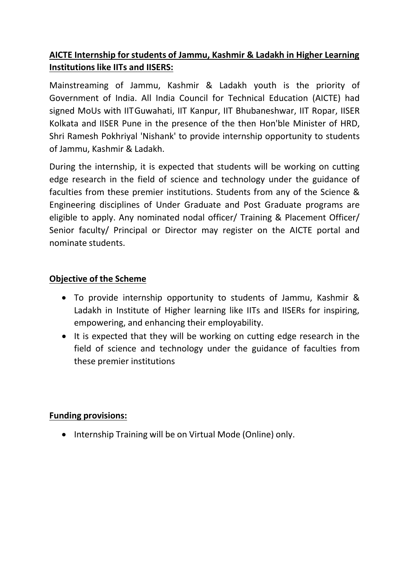# **AICTE Internship for students of Jammu, Kashmir & Ladakh in Higher Learning Institutions like IITs and IISERS:**

Mainstreaming of Jammu, Kashmir & Ladakh youth is the priority of Government of India. All India Council for Technical Education (AICTE) had signed MoUs with IITGuwahati, IIT Kanpur, IIT Bhubaneshwar, IIT Ropar, IISER Kolkata and IISER Pune in the presence of the then Hon'ble Minister of HRD, Shri Ramesh Pokhriyal 'Nishank' to provide internship opportunity to students of Jammu, Kashmir & Ladakh.

During the internship, it is expected that students will be working on cutting edge research in the field of science and technology under the guidance of faculties from these premier institutions. Students from any of the Science & Engineering disciplines of Under Graduate and Post Graduate programs are eligible to apply. Any nominated nodal officer/ Training & Placement Officer/ Senior faculty/ Principal or Director may register on the AICTE portal and nominate students.

## **Objective of the Scheme**

- To provide internship opportunity to students of Jammu, Kashmir & Ladakh in Institute of Higher learning like IITs and IISERs for inspiring, empowering, and enhancing their employability.
- It is expected that they will be working on cutting edge research in the field of science and technology under the guidance of faculties from these premier institutions

### **Funding provisions:**

• Internship Training will be on Virtual Mode (Online) only.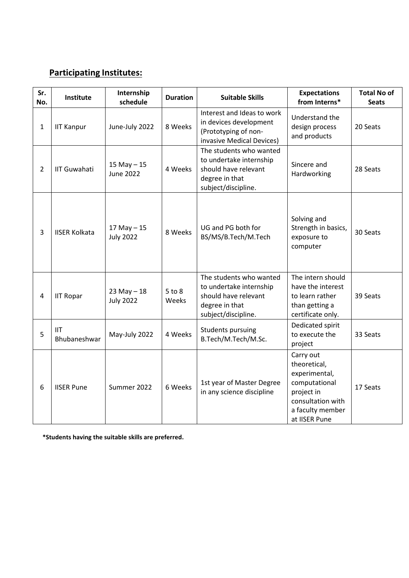## **Participating Institutes:**

| Sr.<br>No.     | Institute                  | Internship<br>schedule              | <b>Duration</b>     | <b>Suitable Skills</b>                                                                                              | <b>Expectations</b><br>from Interns*                                                                                                | <b>Total No of</b><br><b>Seats</b> |
|----------------|----------------------------|-------------------------------------|---------------------|---------------------------------------------------------------------------------------------------------------------|-------------------------------------------------------------------------------------------------------------------------------------|------------------------------------|
| $\mathbf{1}$   | <b>IIT Kanpur</b>          | June-July 2022                      | 8 Weeks             | Interest and Ideas to work<br>in devices development<br>(Prototyping of non-<br>invasive Medical Devices)           | Understand the<br>design process<br>and products                                                                                    | 20 Seats                           |
| $\overline{2}$ | <b>IIT Guwahati</b>        | 15 May $-15$<br><b>June 2022</b>    | 4 Weeks             | The students who wanted<br>to undertake internship<br>should have relevant<br>degree in that<br>subject/discipline. | Sincere and<br>Hardworking                                                                                                          | 28 Seats                           |
| 3              | <b>IISER Kolkata</b>       | $17$ May $- 15$<br><b>July 2022</b> | 8 Weeks             | UG and PG both for<br>BS/MS/B.Tech/M.Tech                                                                           | Solving and<br>Strength in basics,<br>exposure to<br>computer                                                                       | 30 Seats                           |
| 4              | <b>IIT Ropar</b>           | $23$ May $- 18$<br><b>July 2022</b> | $5$ to $8$<br>Weeks | The students who wanted<br>to undertake internship<br>should have relevant<br>degree in that<br>subject/discipline. | The intern should<br>have the interest<br>to learn rather<br>than getting a<br>certificate only.                                    | 39 Seats                           |
| 5              | <b>IIT</b><br>Bhubaneshwar | May-July 2022                       | 4 Weeks             | <b>Students pursuing</b><br>B.Tech/M.Tech/M.Sc.                                                                     | Dedicated spirit<br>to execute the<br>project                                                                                       | 33 Seats                           |
| 6              | <b>IISER Pune</b>          | Summer 2022                         | 6 Weeks             | 1st year of Master Degree<br>in any science discipline                                                              | Carry out<br>theoretical,<br>experimental,<br>computational<br>project in<br>consultation with<br>a faculty member<br>at IISER Pune | 17 Seats                           |

**\*Students having the suitable skills are preferred.**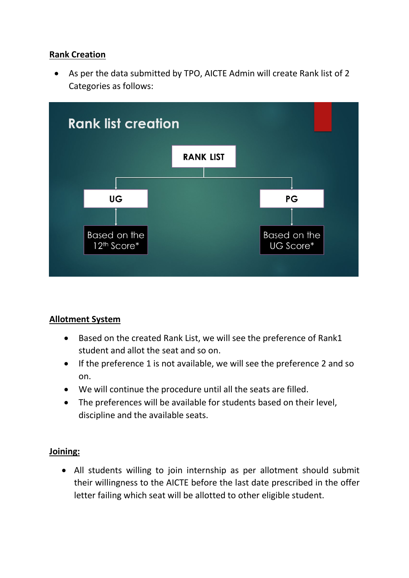### **Rank Creation**

• As per the data submitted by TPO, AICTE Admin will create Rank list of 2 Categories as follows:



### **Allotment System**

- Based on the created Rank List, we will see the preference of Rank1 student and allot the seat and so on.
- If the preference 1 is not available, we will see the preference 2 and so on.
- We will continue the procedure until all the seats are filled.
- The preferences will be available for students based on their level, discipline and the available seats.

### **Joining:**

• All students willing to join internship as per allotment should submit their willingness to the AICTE before the last date prescribed in the offer letter failing which seat will be allotted to other eligible student.